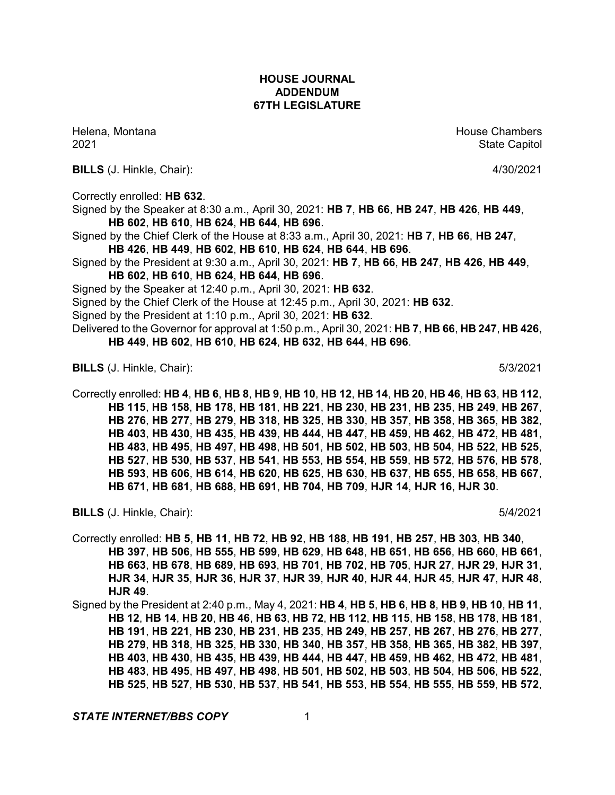Helena, Montana House Chambers Chambers Chambers and House Chambers Chambers Chambers Chambers Chambers Chambers Chambers Chambers Chambers Chambers Chambers Chambers Chambers Chambers Chambers Chambers Chambers Chambers C

**BILLS** (J. Hinkle, Chair): 4/30/2021

Correctly enrolled: **HB 632**.

Signed by the Speaker at 8:30 a.m., April 30, 2021: **HB 7**, **HB 66**, **HB 247**, **HB 426**, **HB 449**, **HB 602**, **HB 610**, **HB 624**, **HB 644**, **HB 696**.

Signed by the Chief Clerk of the House at 8:33 a.m., April 30, 2021: **HB 7**, **HB 66**, **HB 247**, **HB 426**, **HB 449**, **HB 602**, **HB 610**, **HB 624**, **HB 644**, **HB 696**.

Signed by the President at 9:30 a.m., April 30, 2021: **HB 7**, **HB 66**, **HB 247**, **HB 426**, **HB 449**, **HB 602**, **HB 610**, **HB 624**, **HB 644**, **HB 696**.

Signed by the Speaker at 12:40 p.m., April 30, 2021: **HB 632**.

Signed by the Chief Clerk of the House at 12:45 p.m., April 30, 2021: **HB 632**.

Signed by the President at 1:10 p.m., April 30, 2021: **HB 632**.

Delivered to the Governor for approval at 1:50 p.m., April 30, 2021: **HB 7**, **HB 66**, **HB 247**, **HB 426**, **HB 449**, **HB 602**, **HB 610**, **HB 624**, **HB 632**, **HB 644**, **HB 696**.

**BILLS** (J. Hinkle, Chair): 5/3/2021

Correctly enrolled: HB 4, HB 6, HB 8, HB 9, HB 10, HB 12, HB 14, HB 20, HB 46, HB 63, HB 112, **HB 115**, **HB 158**, **HB 178**, **HB 181**, **HB 221**, **HB 230**, **HB 231**, **HB 235**, **HB 249**, **HB 267**, **HB 276**, **HB 277**, **HB 279**, **HB 318**, **HB 325**, **HB 330**, **HB 357**, **HB 358**, **HB 365**, **HB 382**, **HB 403**, **HB 430**, **HB 435**, **HB 439**, **HB 444**, **HB 447**, **HB 459**, **HB 462**, **HB 472**, **HB 481**, **HB 483**, **HB 495**, **HB 497**, **HB 498**, **HB 501**, **HB 502**, **HB 503**, **HB 504**, **HB 522**, **HB 525**, **HB 527**, **HB 530**, **HB 537**, **HB 541**, **HB 553**, **HB 554**, **HB 559**, **HB 572**, **HB 576**, **HB 578**, **HB 593**, **HB 606**, **HB 614**, **HB 620**, **HB 625**, **HB 630**, **HB 637**, **HB 655**, **HB 658**, **HB 667**, **HB 671**, **HB 681**, **HB 688**, **HB 691**, **HB 704**, **HB 709**, **HJR 14**, **HJR 16**, **HJR 30**.

**BILLS** (J. Hinkle, Chair): 5/4/2021

Correctly enrolled: **HB 5**, **HB 11**, **HB 72**, **HB 92**, **HB 188**, **HB 191**, **HB 257**, **HB 303**, **HB 340**, **HB 397**, **HB 506**, **HB 555**, **HB 599**, **HB 629**, **HB 648**, **HB 651**, **HB 656**, **HB 660**, **HB 661**, **HB 663**, **HB 678**, **HB 689**, **HB 693**, **HB 701**, **HB 702**, **HB 705**, **HJR 27**, **HJR 29**, **HJR 31**, **HJR 34**, **HJR 35**, **HJR 36**, **HJR 37**, **HJR 39**, **HJR 40**, **HJR 44**, **HJR 45**, **HJR 47**, **HJR 48**, **HJR 49**.

Signed by the President at 2:40 p.m., May 4, 2021: **HB 4**, **HB 5**, **HB 6**, **HB 8**, **HB 9**, **HB 10**, **HB 11**, HB 12, HB 14, HB 20, HB 46, HB 63, HB 72, HB 112, HB 115, HB 158, HB 178, HB 181, **HB 191**, **HB 221**, **HB 230**, **HB 231**, **HB 235**, **HB 249**, **HB 257**, **HB 267**, **HB 276**, **HB 277**, **HB 279**, **HB 318**, **HB 325**, **HB 330**, **HB 340**, **HB 357**, **HB 358**, **HB 365**, **HB 382**, **HB 397**, **HB 403**, **HB 430**, **HB 435**, **HB 439**, **HB 444**, **HB 447**, **HB 459**, **HB 462**, **HB 472**, **HB 481**, **HB 483**, **HB 495**, **HB 497**, **HB 498**, **HB 501**, **HB 502**, **HB 503**, **HB 504**, **HB 506**, **HB 522**, **HB 525**, **HB 527**, **HB 530**, **HB 537**, **HB 541**, **HB 553**, **HB 554**, **HB 555**, **HB 559**, **HB 572**,

**STATE INTERNET/BBS COPY** 1

2021 and 2021 State Capitol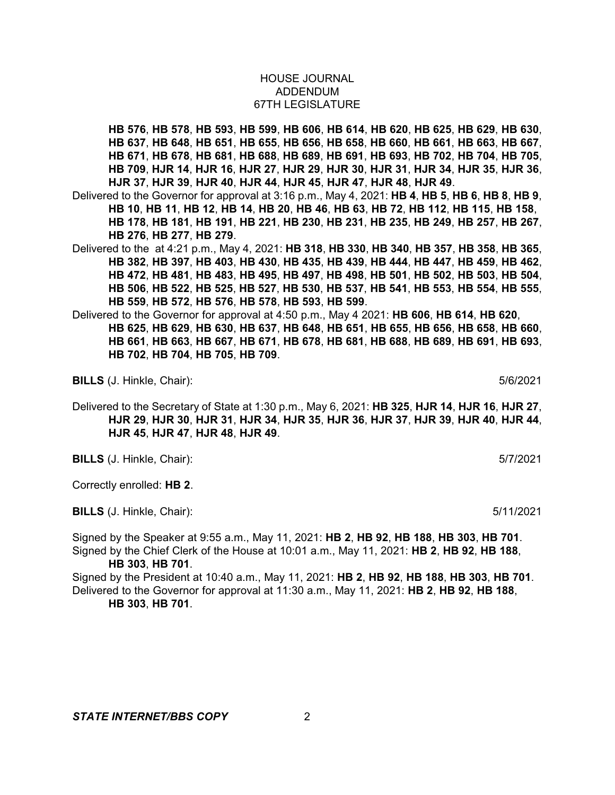**HB 576**, **HB 578**, **HB 593**, **HB 599**, **HB 606**, **HB 614**, **HB 620**, **HB 625**, **HB 629**, **HB 630**, **HB 637**, **HB 648**, **HB 651**, **HB 655**, **HB 656**, **HB 658**, **HB 660**, **HB 661**, **HB 663**, **HB 667**, **HB 671**, **HB 678**, **HB 681**, **HB 688**, **HB 689**, **HB 691**, **HB 693**, **HB 702**, **HB 704**, **HB 705**, **HB 709**, **HJR 14**, **HJR 16**, **HJR 27**, **HJR 29**, **HJR 30**, **HJR 31**, **HJR 34**, **HJR 35**, **HJR 36**, **HJR 37**, **HJR 39**, **HJR 40**, **HJR 44**, **HJR 45**, **HJR 47**, **HJR 48**, **HJR 49**.

Delivered to the Governor for approval at 3:16 p.m., May 4, 2021: **HB 4**, **HB 5**, **HB 6**, **HB 8**, **HB 9**, HB 10, HB 11, HB 12, HB 14, HB 20, HB 46, HB 63, HB 72, HB 112, HB 115, HB 158, **HB 178**, **HB 181**, **HB 191**, **HB 221**, **HB 230**, **HB 231**, **HB 235**, **HB 249**, **HB 257**, **HB 267**, **HB 276**, **HB 277**, **HB 279**.

Delivered to the at 4:21 p.m., May 4, 2021: **HB 318**, **HB 330**, **HB 340**, **HB 357**, **HB 358**, **HB 365**, **HB 382**, **HB 397**, **HB 403**, **HB 430**, **HB 435**, **HB 439**, **HB 444**, **HB 447**, **HB 459**, **HB 462**, **HB 472**, **HB 481**, **HB 483**, **HB 495**, **HB 497**, **HB 498**, **HB 501**, **HB 502**, **HB 503**, **HB 504**, **HB 506**, **HB 522**, **HB 525**, **HB 527**, **HB 530**, **HB 537**, **HB 541**, **HB 553**, **HB 554**, **HB 555**, **HB 559**, **HB 572**, **HB 576**, **HB 578**, **HB 593**, **HB 599**.

Delivered to the Governor for approval at 4:50 p.m., May 4 2021: **HB 606**, **HB 614**, **HB 620**, **HB 625**, **HB 629**, **HB 630**, **HB 637**, **HB 648**, **HB 651**, **HB 655**, **HB 656**, **HB 658**, **HB 660**, **HB 661**, **HB 663**, **HB 667**, **HB 671**, **HB 678**, **HB 681**, **HB 688**, **HB 689**, **HB 691**, **HB 693**, **HB 702**, **HB 704**, **HB 705**, **HB 709**.

**BILLS** (J. Hinkle, Chair): 5/6/2021

Delivered to the Secretary of State at 1:30 p.m., May 6, 2021: **HB 325**, **HJR 14**, **HJR 16**, **HJR 27**, **HJR 29**, **HJR 30**, **HJR 31**, **HJR 34**, **HJR 35**, **HJR 36**, **HJR 37**, **HJR 39**, **HJR 40**, **HJR 44**, **HJR 45**, **HJR 47**, **HJR 48**, **HJR 49**.

**BILLS** (J. Hinkle, Chair): 5/7/2021

Correctly enrolled: **HB 2**.

**BILLS** (J. Hinkle, Chair): 5/11/2021

Signed by the Speaker at 9:55 a.m., May 11, 2021: **HB 2**, **HB 92**, **HB 188**, **HB 303**, **HB 701**. Signed by the Chief Clerk of the House at 10:01 a.m., May 11, 2021: **HB 2**, **HB 92**, **HB 188**, **HB 303**, **HB 701**.

Signed by the President at 10:40 a.m., May 11, 2021: **HB 2**, **HB 92**, **HB 188**, **HB 303**, **HB 701**. Delivered to the Governor for approval at 11:30 a.m., May 11, 2021: **HB 2**, **HB 92**, **HB 188**, **HB 303**, **HB 701**.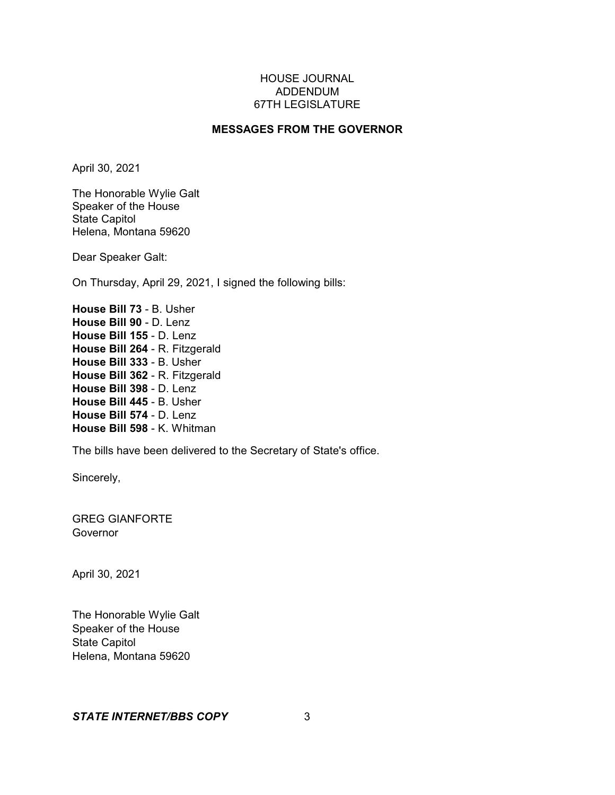# **MESSAGES FROM THE GOVERNOR**

April 30, 2021

The Honorable Wylie Galt Speaker of the House State Capitol Helena, Montana 59620

Dear Speaker Galt:

On Thursday, April 29, 2021, I signed the following bills:

**House Bill 73** - B. Usher **House Bill 90** - D. Lenz **House Bill 155** - D. Lenz **House Bill 264** - R. Fitzgerald **House Bill 333** - B. Usher **House Bill 362** - R. Fitzgerald **House Bill 398** - D. Lenz **House Bill 445** - B. Usher **House Bill 574** - D. Lenz **House Bill 598** - K. Whitman

The bills have been delivered to the Secretary of State's office.

Sincerely,

GREG GIANFORTE Governor

April 30, 2021

The Honorable Wylie Galt Speaker of the House State Capitol Helena, Montana 59620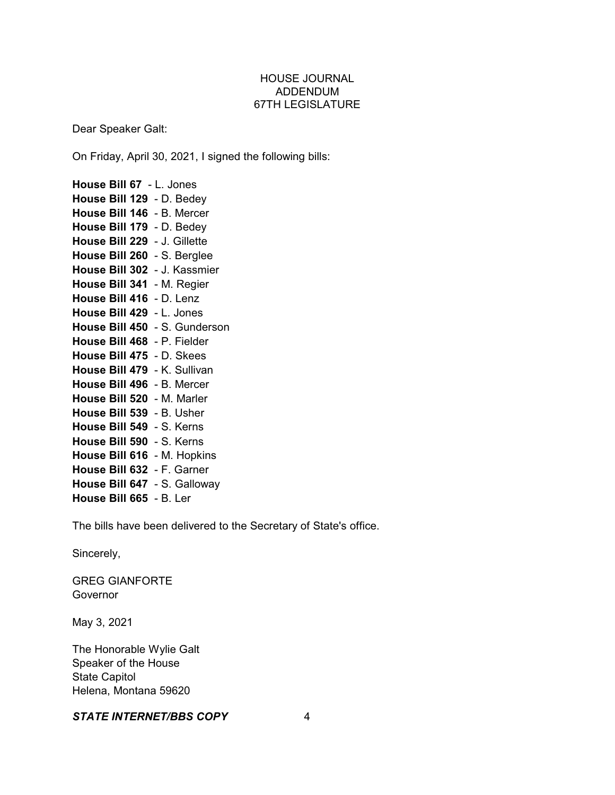Dear Speaker Galt:

On Friday, April 30, 2021, I signed the following bills:

**House Bill 67** - L. Jones **House Bill 129** - D. Bedey **House Bill 146** - B. Mercer **House Bill 179** - D. Bedey **House Bill 229** - J. Gillette **House Bill 260** - S. Berglee **House Bill 302** - J. Kassmier **House Bill 341** - M. Regier **House Bill 416** - D. Lenz **House Bill 429** - L. Jones **House Bill 450** - S. Gunderson **House Bill 468** - P. Fielder **House Bill 475** - D. Skees **House Bill 479** - K. Sullivan **House Bill 496** - B. Mercer **House Bill 520** - M. Marler **House Bill 539** - B. Usher **House Bill 549** - S. Kerns **House Bill 590** - S. Kerns **House Bill 616** - M. Hopkins **House Bill 632** - F. Garner **House Bill 647** - S. Galloway **House Bill 665** - B. Ler

The bills have been delivered to the Secretary of State's office.

Sincerely,

GREG GIANFORTE **Governor** 

May 3, 2021

The Honorable Wylie Galt Speaker of the House State Capitol Helena, Montana 59620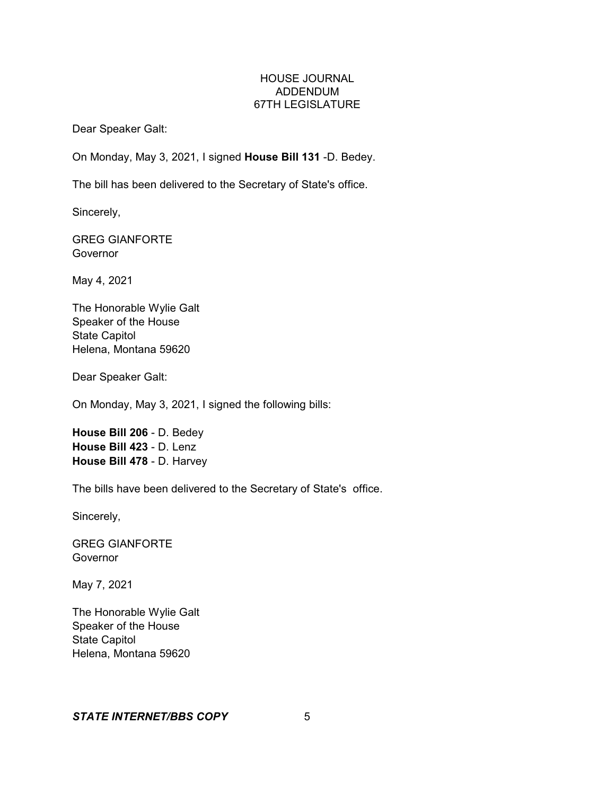Dear Speaker Galt:

On Monday, May 3, 2021, I signed **House Bill 131** -D. Bedey.

The bill has been delivered to the Secretary of State's office.

Sincerely,

GREG GIANFORTE Governor

May 4, 2021

The Honorable Wylie Galt Speaker of the House State Capitol Helena, Montana 59620

Dear Speaker Galt:

On Monday, May 3, 2021, I signed the following bills:

**House Bill 206** - D. Bedey **House Bill 423** - D. Lenz **House Bill 478** - D. Harvey

The bills have been delivered to the Secretary of State's office.

Sincerely,

GREG GIANFORTE Governor

May 7, 2021

The Honorable Wylie Galt Speaker of the House State Capitol Helena, Montana 59620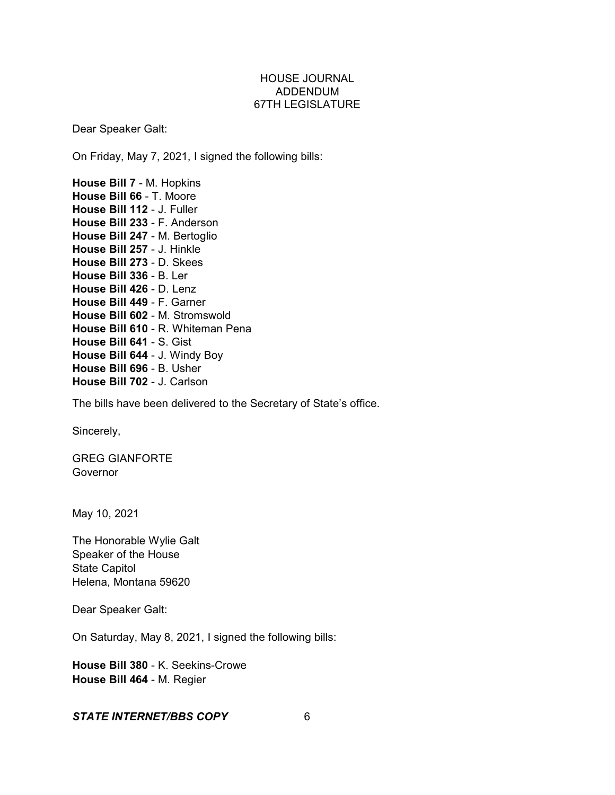Dear Speaker Galt:

On Friday, May 7, 2021, I signed the following bills:

**House Bill 7** - M. Hopkins **House Bill 66** - T. Moore **House Bill 112** - J. Fuller **House Bill 233** - F. Anderson **House Bill 247** - M. Bertoglio **House Bill 257** - J. Hinkle **House Bill 273** - D. Skees **House Bill 336** - B. Ler **House Bill 426** - D. Lenz **House Bill 449** - F. Garner **House Bill 602** - M. Stromswold **House Bill 610** - R. Whiteman Pena **House Bill 641** - S. Gist **House Bill 644** - J. Windy Boy **House Bill 696** - B. Usher **House Bill 702** - J. Carlson

The bills have been delivered to the Secretary of State's office.

Sincerely,

GREG GIANFORTE Governor

May 10, 2021

The Honorable Wylie Galt Speaker of the House State Capitol Helena, Montana 59620

Dear Speaker Galt:

On Saturday, May 8, 2021, I signed the following bills:

**House Bill 380** - K. Seekins-Crowe **House Bill 464** - M. Regier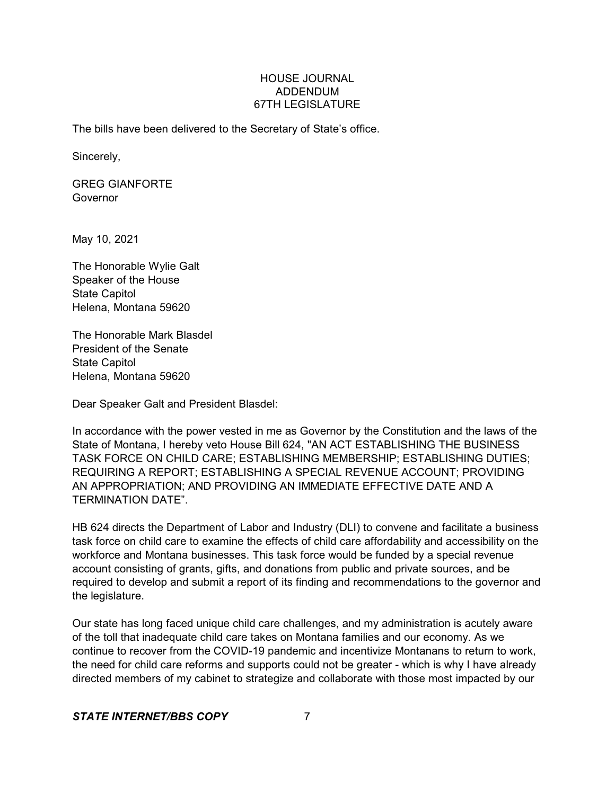The bills have been delivered to the Secretary of State's office.

Sincerely,

GREG GIANFORTE Governor

May 10, 2021

The Honorable Wylie Galt Speaker of the House State Capitol Helena, Montana 59620

The Honorable Mark Blasdel President of the Senate State Capitol Helena, Montana 59620

Dear Speaker Galt and President Blasdel:

In accordance with the power vested in me as Governor by the Constitution and the laws of the State of Montana, I hereby veto House Bill 624, "AN ACT ESTABLISHING THE BUSINESS TASK FORCE ON CHILD CARE; ESTABLISHING MEMBERSHIP; ESTABLISHING DUTIES; REQUIRING A REPORT; ESTABLISHING A SPECIAL REVENUE ACCOUNT; PROVIDING AN APPROPRIATION; AND PROVIDING AN IMMEDIATE EFFECTIVE DATE AND A TERMINATION DATE".

HB 624 directs the Department of Labor and Industry (DLI) to convene and facilitate a business task force on child care to examine the effects of child care affordability and accessibility on the workforce and Montana businesses. This task force would be funded by a special revenue account consisting of grants, gifts, and donations from public and private sources, and be required to develop and submit a report of its finding and recommendations to the governor and the legislature.

Our state has long faced unique child care challenges, and my administration is acutely aware of the toll that inadequate child care takes on Montana families and our economy. As we continue to recover from the COVID-19 pandemic and incentivize Montanans to return to work, the need for child care reforms and supports could not be greater - which is why I have already directed members of my cabinet to strategize and collaborate with those most impacted by our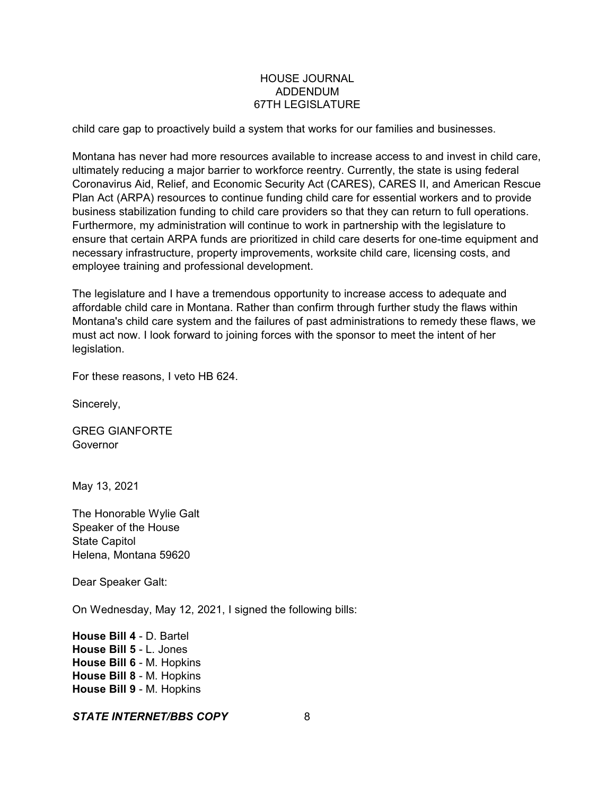child care gap to proactively build a system that works for our families and businesses.

Montana has never had more resources available to increase access to and invest in child care, ultimately reducing a major barrier to workforce reentry. Currently, the state is using federal Coronavirus Aid, Relief, and Economic Security Act (CARES), CARES II, and American Rescue Plan Act (ARPA) resources to continue funding child care for essential workers and to provide business stabilization funding to child care providers so that they can return to full operations. Furthermore, my administration will continue to work in partnership with the legislature to ensure that certain ARPA funds are prioritized in child care deserts for one-time equipment and necessary infrastructure, property improvements, worksite child care, licensing costs, and employee training and professional development.

The legislature and I have a tremendous opportunity to increase access to adequate and affordable child care in Montana. Rather than confirm through further study the flaws within Montana's child care system and the failures of past administrations to remedy these flaws, we must act now. I look forward to joining forces with the sponsor to meet the intent of her legislation.

For these reasons, I veto HB 624.

Sincerely,

GREG GIANFORTE Governor

May 13, 2021

The Honorable Wylie Galt Speaker of the House State Capitol Helena, Montana 59620

Dear Speaker Galt:

On Wednesday, May 12, 2021, I signed the following bills:

**House Bill 4** - D. Bartel **House Bill 5** - L. Jones **House Bill 6** - M. Hopkins **House Bill 8** - M. Hopkins **House Bill 9** - M. Hopkins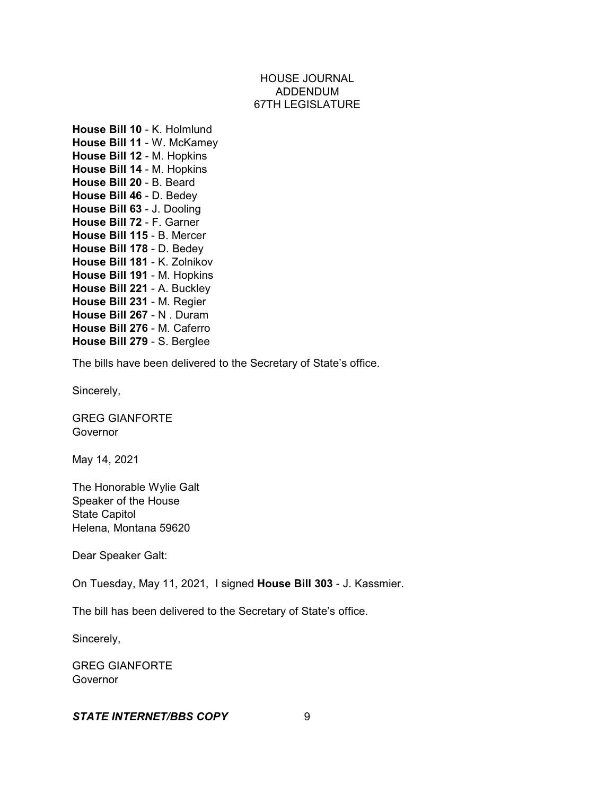**House Bill 10** - K. Holmlund **House Bill 11** - W. McKamey **House Bill 12** - M. Hopkins **House Bill 14** - M. Hopkins **House Bill 20** - B. Beard **House Bill 46** - D. Bedey **House Bill 63** - J. Dooling **House Bill 72** - F. Garner **House Bill 115** - B. Mercer **House Bill 178** - D. Bedey **House Bill 181** - K. Zolnikov **House Bill 191** - M. Hopkins **House Bill 221** - A. Buckley **House Bill 231** - M. Regier **House Bill 267** - N . Duram **House Bill 276** - M. Caferro **House Bill 279** - S. Berglee

The bills have been delivered to the Secretary of State's office.

Sincerely,

GREG GIANFORTE **Governor** 

May 14, 2021

The Honorable Wylie Galt Speaker of the House State Capitol Helena, Montana 59620

Dear Speaker Galt:

On Tuesday, May 11, 2021, I signed **House Bill 303** - J. Kassmier.

The bill has been delivered to the Secretary of State's office.

Sincerely,

GREG GIANFORTE Governor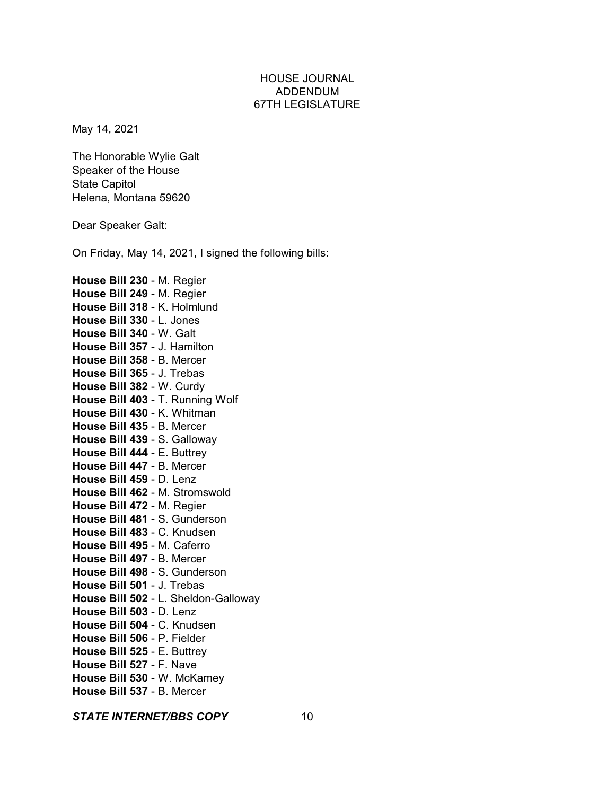May 14, 2021

The Honorable Wylie Galt Speaker of the House State Capitol Helena, Montana 59620

Dear Speaker Galt:

On Friday, May 14, 2021, I signed the following bills:

**House Bill 230** - M. Regier **House Bill 249** - M. Regier **House Bill 318** - K. Holmlund **House Bill 330** - L. Jones **House Bill 340** - W. Galt **House Bill 357** - J. Hamilton **House Bill 358** - B. Mercer **House Bill 365** - J. Trebas **House Bill 382** - W. Curdy **House Bill 403** - T. Running Wolf **House Bill 430** - K. Whitman **House Bill 435** - B. Mercer **House Bill 439** - S. Galloway **House Bill 444** - E. Buttrey **House Bill 447** - B. Mercer **House Bill 459** - D. Lenz **House Bill 462** - M. Stromswold **House Bill 472** - M. Regier **House Bill 481** - S. Gunderson **House Bill 483** - C. Knudsen **House Bill 495** - M. Caferro **House Bill 497** - B. Mercer **House Bill 498** - S. Gunderson **House Bill 501** - J. Trebas **House Bill 502** - L. Sheldon-Galloway **House Bill 503** - D. Lenz **House Bill 504** - C. Knudsen **House Bill 506** - P. Fielder **House Bill 525** - E. Buttrey **House Bill 527** - F. Nave **House Bill 530** - W. McKamey **House Bill 537** - B. Mercer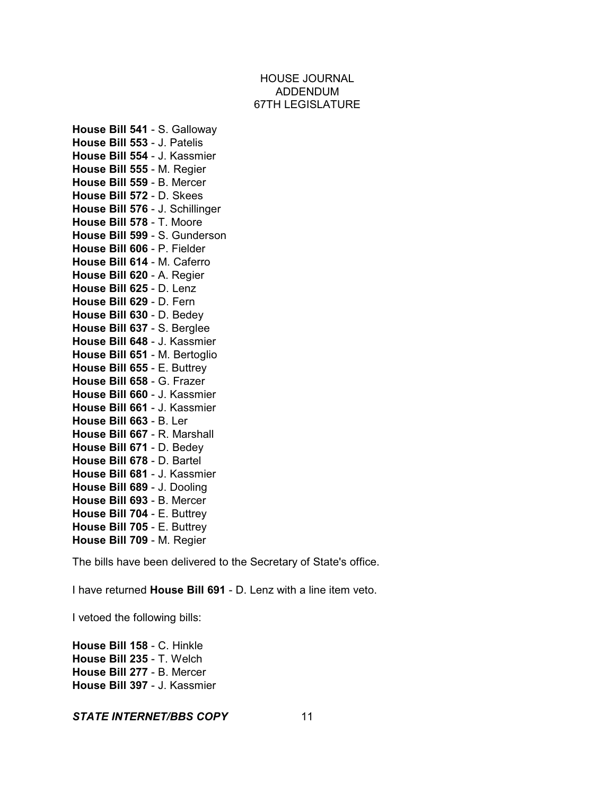**House Bill 541** - S. Galloway **House Bill 553** - J. Patelis **House Bill 554** - J. Kassmier **House Bill 555** - M. Regier **House Bill 559** - B. Mercer **House Bill 572** - D. Skees **House Bill 576** - J. Schillinger **House Bill 578** - T. Moore **House Bill 599** - S. Gunderson **House Bill 606** - P. Fielder **House Bill 614** - M. Caferro **House Bill 620** - A. Regier **House Bill 625** - D. Lenz **House Bill 629** - D. Fern **House Bill 630** - D. Bedey **House Bill 637** - S. Berglee **House Bill 648** - J. Kassmier **House Bill 651** - M. Bertoglio **House Bill 655** - E. Buttrey **House Bill 658** - G. Frazer **House Bill 660** - J. Kassmier **House Bill 661** - J. Kassmier **House Bill 663** - B. Ler **House Bill 667** - R. Marshall **House Bill 671** - D. Bedey **House Bill 678** - D. Bartel **House Bill 681** - J. Kassmier **House Bill 689** - J. Dooling **House Bill 693** - B. Mercer **House Bill 704** - E. Buttrey **House Bill 705** - E. Buttrey **House Bill 709** - M. Regier

The bills have been delivered to the Secretary of State's office.

I have returned **House Bill 691** - D. Lenz with a line item veto.

I vetoed the following bills:

**House Bill 158** - C. Hinkle **House Bill 235** - T. Welch **House Bill 277** - B. Mercer **House Bill 397** - J. Kassmier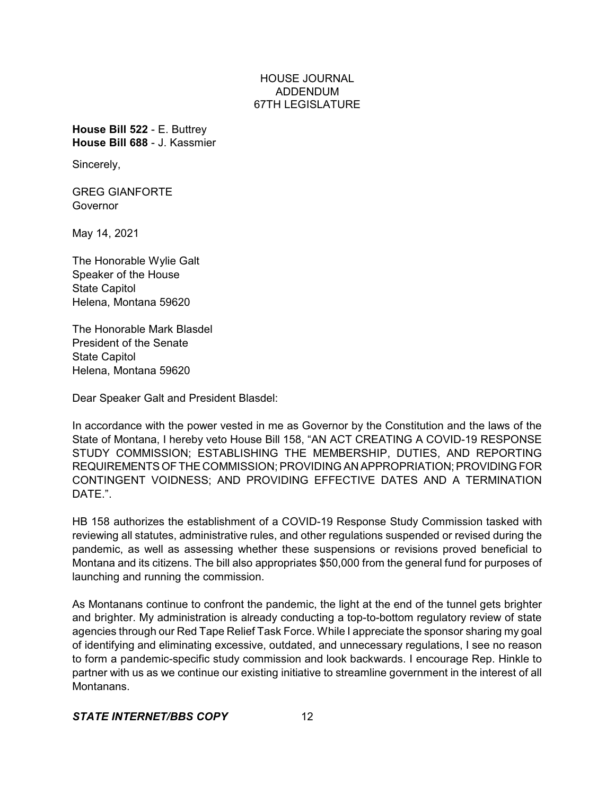**House Bill 522** - E. Buttrey **House Bill 688** - J. Kassmier

Sincerely,

GREG GIANFORTE Governor

May 14, 2021

The Honorable Wylie Galt Speaker of the House State Capitol Helena, Montana 59620

The Honorable Mark Blasdel President of the Senate State Capitol Helena, Montana 59620

Dear Speaker Galt and President Blasdel:

In accordance with the power vested in me as Governor by the Constitution and the laws of the State of Montana, I hereby veto House Bill 158, "AN ACT CREATING A COVID-19 RESPONSE STUDY COMMISSION; ESTABLISHING THE MEMBERSHIP, DUTIES, AND REPORTING REQUIREMENTSOFTHE COMMISSION; PROVIDING AN APPROPRIATION;PROVIDING FOR CONTINGENT VOIDNESS; AND PROVIDING EFFECTIVE DATES AND A TERMINATION DATE.".

HB 158 authorizes the establishment of a COVID-19 Response Study Commission tasked with reviewing all statutes, administrative rules, and other regulations suspended or revised during the pandemic, as well as assessing whether these suspensions or revisions proved beneficial to Montana and its citizens. The bill also appropriates \$50,000 from the general fund for purposes of launching and running the commission.

As Montanans continue to confront the pandemic, the light at the end of the tunnel gets brighter and brighter. My administration is already conducting a top-to-bottom regulatory review of state agencies through our Red Tape Relief Task Force. While I appreciate the sponsor sharing my goal of identifying and eliminating excessive, outdated, and unnecessary regulations, I see no reason to form a pandemic-specific study commission and look backwards. I encourage Rep. Hinkle to partner with us as we continue our existing initiative to streamline government in the interest of all Montanans.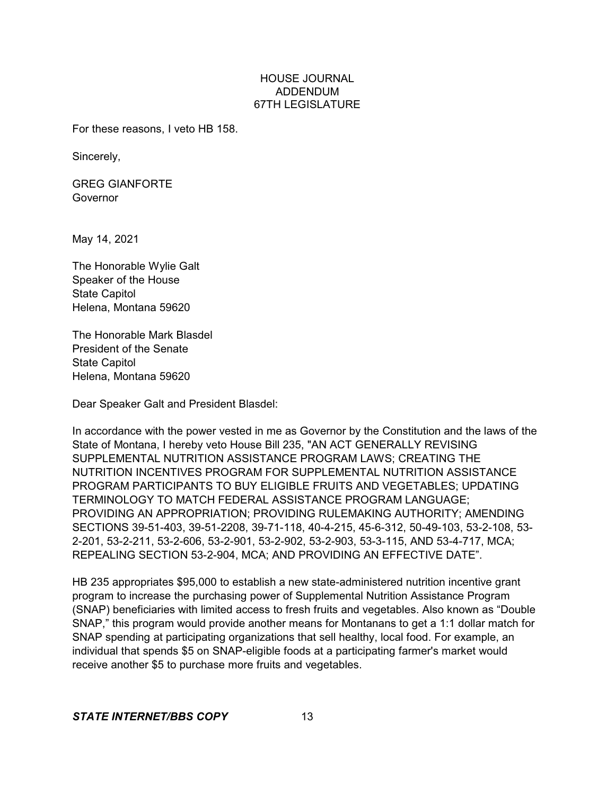For these reasons, I veto HB 158.

Sincerely,

GREG GIANFORTE Governor

May 14, 2021

The Honorable Wylie Galt Speaker of the House State Capitol Helena, Montana 59620

The Honorable Mark Blasdel President of the Senate State Capitol Helena, Montana 59620

Dear Speaker Galt and President Blasdel:

In accordance with the power vested in me as Governor by the Constitution and the laws of the State of Montana, I hereby veto House Bill 235, "AN ACT GENERALLY REVISING SUPPLEMENTAL NUTRITION ASSISTANCE PROGRAM LAWS; CREATING THE NUTRITION INCENTIVES PROGRAM FOR SUPPLEMENTAL NUTRITION ASSISTANCE PROGRAM PARTICIPANTS TO BUY ELIGIBLE FRUITS AND VEGETABLES; UPDATING TERMINOLOGY TO MATCH FEDERAL ASSISTANCE PROGRAM LANGUAGE; PROVIDING AN APPROPRIATION; PROVIDING RULEMAKING AUTHORITY; AMENDING SECTIONS 39-51-403, 39-51-2208, 39-71-118, 40-4-215, 45-6-312, 50-49-103, 53-2-108, 53- 2-201, 53-2-211, 53-2-606, 53-2-901, 53-2-902, 53-2-903, 53-3-115, AND 53-4-717, MCA; REPEALING SECTION 53-2-904, MCA; AND PROVIDING AN EFFECTIVE DATE".

HB 235 appropriates \$95,000 to establish a new state-administered nutrition incentive grant program to increase the purchasing power of Supplemental Nutrition Assistance Program (SNAP) beneficiaries with limited access to fresh fruits and vegetables. Also known as "Double SNAP," this program would provide another means for Montanans to get a 1:1 dollar match for SNAP spending at participating organizations that sell healthy, local food. For example, an individual that spends \$5 on SNAP-eligible foods at a participating farmer's market would receive another \$5 to purchase more fruits and vegetables.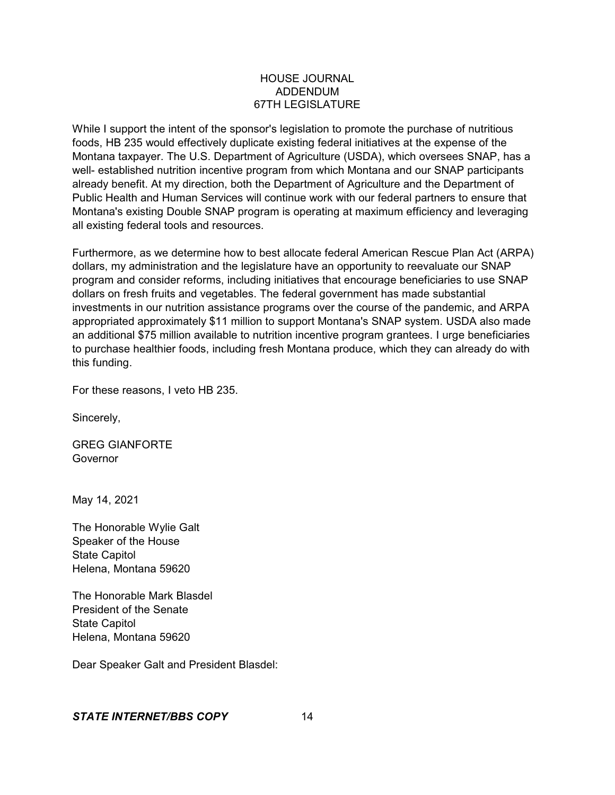While I support the intent of the sponsor's legislation to promote the purchase of nutritious foods, HB 235 would effectively duplicate existing federal initiatives at the expense of the Montana taxpayer. The U.S. Department of Agriculture (USDA), which oversees SNAP, has a well- established nutrition incentive program from which Montana and our SNAP participants already benefit. At my direction, both the Department of Agriculture and the Department of Public Health and Human Services will continue work with our federal partners to ensure that Montana's existing Double SNAP program is operating at maximum efficiency and leveraging all existing federal tools and resources.

Furthermore, as we determine how to best allocate federal American Rescue Plan Act (ARPA) dollars, my administration and the legislature have an opportunity to reevaluate our SNAP program and consider reforms, including initiatives that encourage beneficiaries to use SNAP dollars on fresh fruits and vegetables. The federal government has made substantial investments in our nutrition assistance programs over the course of the pandemic, and ARPA appropriated approximately \$11 million to support Montana's SNAP system. USDA also made an additional \$75 million available to nutrition incentive program grantees. I urge beneficiaries to purchase healthier foods, including fresh Montana produce, which they can already do with this funding.

For these reasons, I veto HB 235.

Sincerely,

GREG GIANFORTE Governor

May 14, 2021

The Honorable Wylie Galt Speaker of the House State Capitol Helena, Montana 59620

The Honorable Mark Blasdel President of the Senate State Capitol Helena, Montana 59620

Dear Speaker Galt and President Blasdel: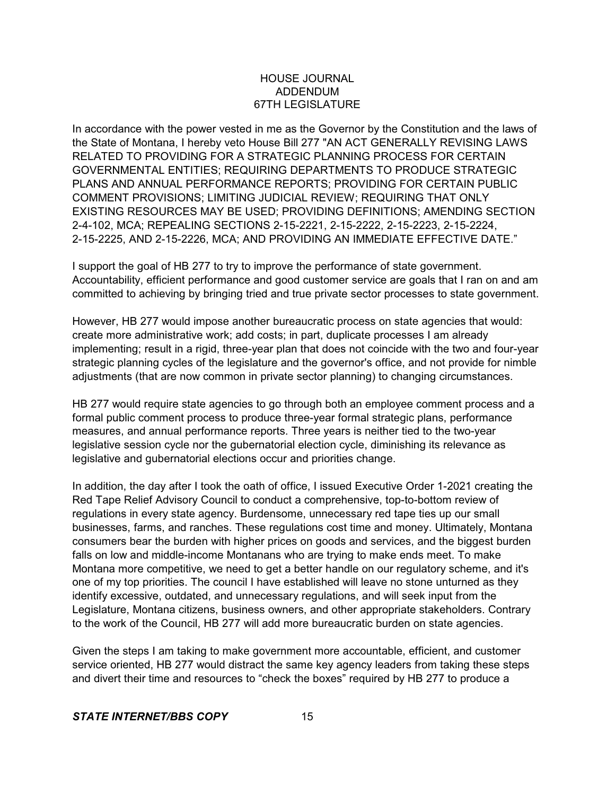In accordance with the power vested in me as the Governor by the Constitution and the laws of the State of Montana, I hereby veto House Bill 277 "AN ACT GENERALLY REVISING LAWS RELATED TO PROVIDING FOR A STRATEGIC PLANNING PROCESS FOR CERTAIN GOVERNMENTAL ENTITIES; REQUIRING DEPARTMENTS TO PRODUCE STRATEGIC PLANS AND ANNUAL PERFORMANCE REPORTS; PROVIDING FOR CERTAIN PUBLIC COMMENT PROVISIONS; LIMITING JUDICIAL REVIEW; REQUIRING THAT ONLY EXISTING RESOURCES MAY BE USED; PROVIDING DEFINITIONS; AMENDING SECTION 2-4-102, MCA; REPEALING SECTIONS 2-15-2221, 2-15-2222, 2-15-2223, 2-15-2224, 2-15-2225, AND 2-15-2226, MCA; AND PROVIDING AN IMMEDIATE EFFECTIVE DATE."

I support the goal of HB 277 to try to improve the performance of state government. Accountability, efficient performance and good customer service are goals that I ran on and am committed to achieving by bringing tried and true private sector processes to state government.

However, HB 277 would impose another bureaucratic process on state agencies that would: create more administrative work; add costs; in part, duplicate processes I am already implementing; result in a rigid, three-year plan that does not coincide with the two and four-year strategic planning cycles of the legislature and the governor's office, and not provide for nimble adjustments (that are now common in private sector planning) to changing circumstances.

HB 277 would require state agencies to go through both an employee comment process and a formal public comment process to produce three-year formal strategic plans, performance measures, and annual performance reports. Three years is neither tied to the two-year legislative session cycle nor the gubernatorial election cycle, diminishing its relevance as legislative and gubernatorial elections occur and priorities change.

In addition, the day after I took the oath of office, I issued Executive Order 1-2021 creating the Red Tape Relief Advisory Council to conduct a comprehensive, top-to-bottom review of regulations in every state agency. Burdensome, unnecessary red tape ties up our small businesses, farms, and ranches. These regulations cost time and money. Ultimately, Montana consumers bear the burden with higher prices on goods and services, and the biggest burden falls on low and middle-income Montanans who are trying to make ends meet. To make Montana more competitive, we need to get a better handle on our regulatory scheme, and it's one of my top priorities. The council I have established will leave no stone unturned as they identify excessive, outdated, and unnecessary regulations, and will seek input from the Legislature, Montana citizens, business owners, and other appropriate stakeholders. Contrary to the work of the Council, HB 277 will add more bureaucratic burden on state agencies.

Given the steps I am taking to make government more accountable, efficient, and customer service oriented, HB 277 would distract the same key agency leaders from taking these steps and divert their time and resources to "check the boxes" required by HB 277 to produce a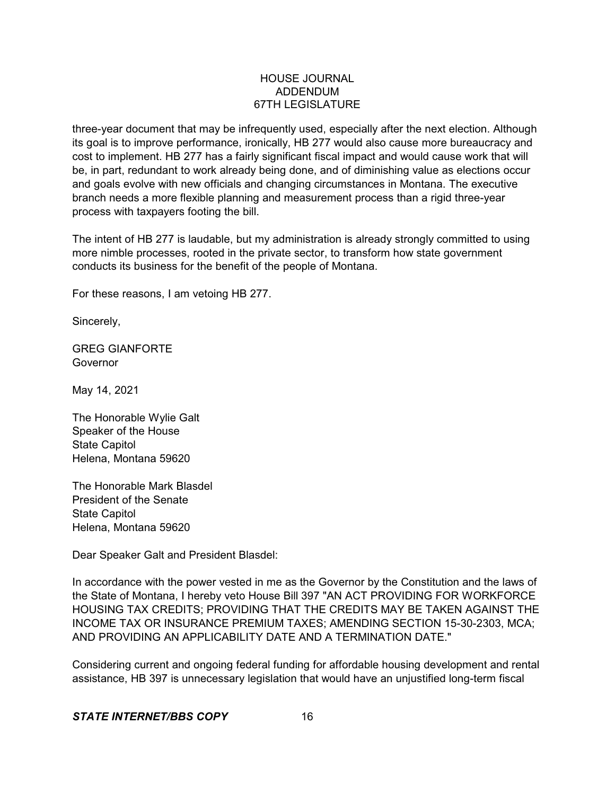three-year document that may be infrequently used, especially after the next election. Although its goal is to improve performance, ironically, HB 277 would also cause more bureaucracy and cost to implement. HB 277 has a fairly significant fiscal impact and would cause work that will be, in part, redundant to work already being done, and of diminishing value as elections occur and goals evolve with new officials and changing circumstances in Montana. The executive branch needs a more flexible planning and measurement process than a rigid three-year process with taxpayers footing the bill.

The intent of HB 277 is laudable, but my administration is already strongly committed to using more nimble processes, rooted in the private sector, to transform how state government conducts its business for the benefit of the people of Montana.

For these reasons, I am vetoing HB 277.

Sincerely,

GREG GIANFORTE Governor

May 14, 2021

The Honorable Wylie Galt Speaker of the House State Capitol Helena, Montana 59620

The Honorable Mark Blasdel President of the Senate State Capitol Helena, Montana 59620

Dear Speaker Galt and President Blasdel:

In accordance with the power vested in me as the Governor by the Constitution and the laws of the State of Montana, I hereby veto House Bill 397 "AN ACT PROVIDING FOR WORKFORCE HOUSING TAX CREDITS; PROVIDING THAT THE CREDITS MAY BE TAKEN AGAINST THE INCOME TAX OR INSURANCE PREMIUM TAXES; AMENDING SECTION 15-30-2303, MCA; AND PROVIDING AN APPLICABILITY DATE AND A TERMINATION DATE."

Considering current and ongoing federal funding for affordable housing development and rental assistance, HB 397 is unnecessary legislation that would have an unjustified long-term fiscal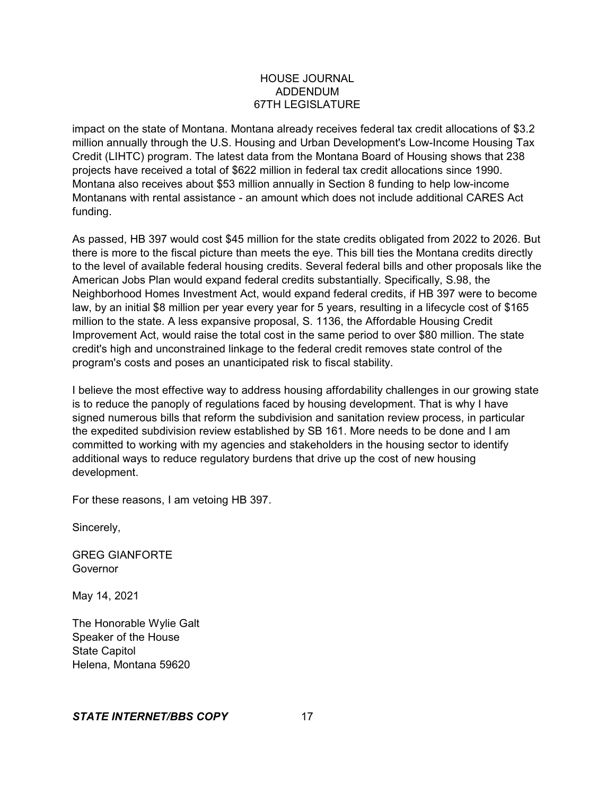impact on the state of Montana. Montana already receives federal tax credit allocations of \$3.2 million annually through the U.S. Housing and Urban Development's Low-Income Housing Tax Credit (LIHTC) program. The latest data from the Montana Board of Housing shows that 238 projects have received a total of \$622 million in federal tax credit allocations since 1990. Montana also receives about \$53 million annually in Section 8 funding to help low-income Montanans with rental assistance - an amount which does not include additional CARES Act funding.

As passed, HB 397 would cost \$45 million for the state credits obligated from 2022 to 2026. But there is more to the fiscal picture than meets the eye. This bill ties the Montana credits directly to the level of available federal housing credits. Several federal bills and other proposals like the American Jobs Plan would expand federal credits substantially. Specifically, S.98, the Neighborhood Homes Investment Act, would expand federal credits, if HB 397 were to become law, by an initial \$8 million per year every year for 5 years, resulting in a lifecycle cost of \$165 million to the state. A less expansive proposal, S. 1136, the Affordable Housing Credit Improvement Act, would raise the total cost in the same period to over \$80 million. The state credit's high and unconstrained linkage to the federal credit removes state control of the program's costs and poses an unanticipated risk to fiscal stability.

I believe the most effective way to address housing affordability challenges in our growing state is to reduce the panoply of regulations faced by housing development. That is why I have signed numerous bills that reform the subdivision and sanitation review process, in particular the expedited subdivision review established by SB 161. More needs to be done and I am committed to working with my agencies and stakeholders in the housing sector to identify additional ways to reduce regulatory burdens that drive up the cost of new housing development.

For these reasons, I am vetoing HB 397.

Sincerely,

GREG GIANFORTE Governor

May 14, 2021

The Honorable Wylie Galt Speaker of the House State Capitol Helena, Montana 59620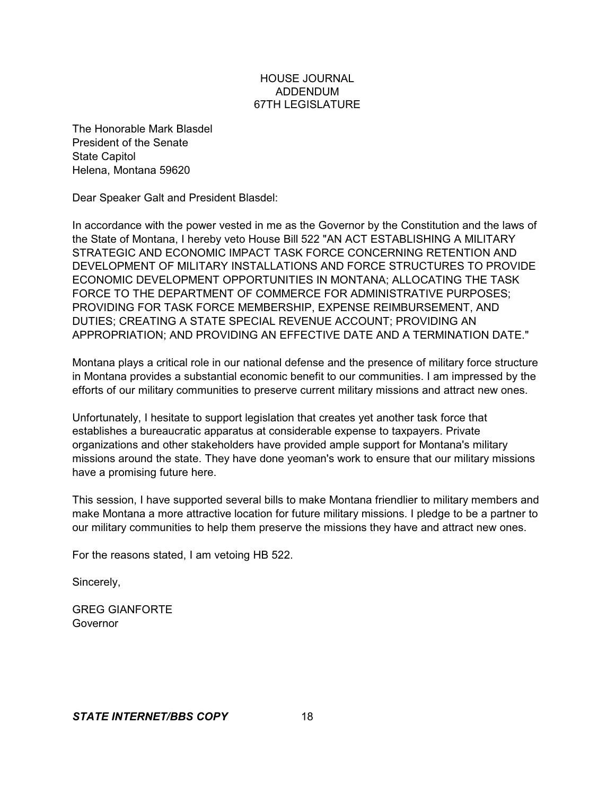The Honorable Mark Blasdel President of the Senate State Capitol Helena, Montana 59620

Dear Speaker Galt and President Blasdel:

In accordance with the power vested in me as the Governor by the Constitution and the laws of the State of Montana, I hereby veto House Bill 522 "AN ACT ESTABLISHING A MILITARY STRATEGIC AND ECONOMIC IMPACT TASK FORCE CONCERNING RETENTION AND DEVELOPMENT OF MILITARY INSTALLATIONS AND FORCE STRUCTURES TO PROVIDE ECONOMIC DEVELOPMENT OPPORTUNITIES IN MONTANA; ALLOCATING THE TASK FORCE TO THE DEPARTMENT OF COMMERCE FOR ADMINISTRATIVE PURPOSES; PROVIDING FOR TASK FORCE MEMBERSHIP, EXPENSE REIMBURSEMENT, AND DUTIES; CREATING A STATE SPECIAL REVENUE ACCOUNT; PROVIDING AN APPROPRIATION; AND PROVIDING AN EFFECTIVE DATE AND A TERMINATION DATE."

Montana plays a critical role in our national defense and the presence of military force structure in Montana provides a substantial economic benefit to our communities. I am impressed by the efforts of our military communities to preserve current military missions and attract new ones.

Unfortunately, I hesitate to support legislation that creates yet another task force that establishes a bureaucratic apparatus at considerable expense to taxpayers. Private organizations and other stakeholders have provided ample support for Montana's military missions around the state. They have done yeoman's work to ensure that our military missions have a promising future here.

This session, I have supported several bills to make Montana friendlier to military members and make Montana a more attractive location for future military missions. I pledge to be a partner to our military communities to help them preserve the missions they have and attract new ones.

For the reasons stated, I am vetoing HB 522.

Sincerely,

GREG GIANFORTE Governor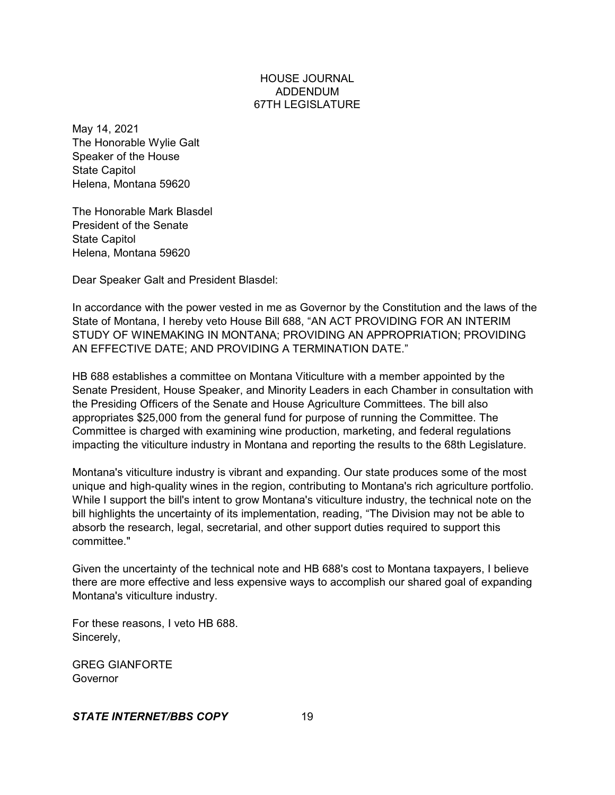May 14, 2021 The Honorable Wylie Galt Speaker of the House State Capitol Helena, Montana 59620

The Honorable Mark Blasdel President of the Senate State Capitol Helena, Montana 59620

Dear Speaker Galt and President Blasdel:

In accordance with the power vested in me as Governor by the Constitution and the laws of the State of Montana, I hereby veto House Bill 688, "AN ACT PROVIDING FOR AN INTERIM STUDY OF WINEMAKING IN MONTANA; PROVIDING AN APPROPRIATION; PROVIDING AN EFFECTIVE DATE; AND PROVIDING A TERMINATION DATE."

HB 688 establishes a committee on Montana Viticulture with a member appointed by the Senate President, House Speaker, and Minority Leaders in each Chamber in consultation with the Presiding Officers of the Senate and House Agriculture Committees. The bill also appropriates \$25,000 from the general fund for purpose of running the Committee. The Committee is charged with examining wine production, marketing, and federal regulations impacting the viticulture industry in Montana and reporting the results to the 68th Legislature.

Montana's viticulture industry is vibrant and expanding. Our state produces some of the most unique and high-quality wines in the region, contributing to Montana's rich agriculture portfolio. While I support the bill's intent to grow Montana's viticulture industry, the technical note on the bill highlights the uncertainty of its implementation, reading, "The Division may not be able to absorb the research, legal, secretarial, and other support duties required to support this committee."

Given the uncertainty of the technical note and HB 688's cost to Montana taxpayers, I believe there are more effective and less expensive ways to accomplish our shared goal of expanding Montana's viticulture industry.

For these reasons, I veto HB 688. Sincerely,

GREG GIANFORTE **Governor**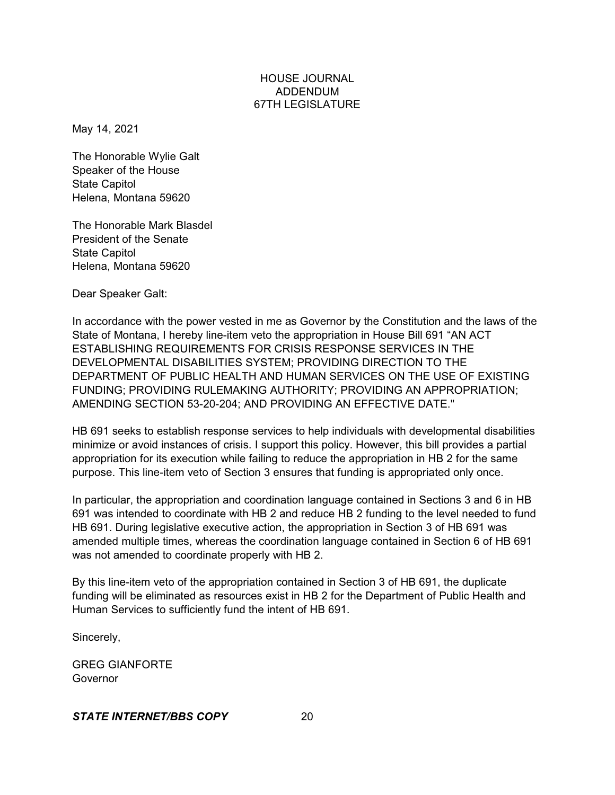May 14, 2021

The Honorable Wylie Galt Speaker of the House State Capitol Helena, Montana 59620

The Honorable Mark Blasdel President of the Senate State Capitol Helena, Montana 59620

Dear Speaker Galt:

In accordance with the power vested in me as Governor by the Constitution and the laws of the State of Montana, I hereby line-item veto the appropriation in House Bill 691 "AN ACT ESTABLISHING REQUIREMENTS FOR CRISIS RESPONSE SERVICES IN THE DEVELOPMENTAL DISABILITIES SYSTEM; PROVIDING DIRECTION TO THE DEPARTMENT OF PUBLIC HEALTH AND HUMAN SERVICES ON THE USE OF EXISTING FUNDING; PROVIDING RULEMAKING AUTHORITY; PROVIDING AN APPROPRIATION; AMENDING SECTION 53-20-204; AND PROVIDING AN EFFECTIVE DATE."

HB 691 seeks to establish response services to help individuals with developmental disabilities minimize or avoid instances of crisis. I support this policy. However, this bill provides a partial appropriation for its execution while failing to reduce the appropriation in HB 2 for the same purpose. This line-item veto of Section 3 ensures that funding is appropriated only once.

In particular, the appropriation and coordination language contained in Sections 3 and 6 in HB 691 was intended to coordinate with HB 2 and reduce HB 2 funding to the level needed to fund HB 691. During legislative executive action, the appropriation in Section 3 of HB 691 was amended multiple times, whereas the coordination language contained in Section 6 of HB 691 was not amended to coordinate properly with HB 2.

By this line-item veto of the appropriation contained in Section 3 of HB 691, the duplicate funding will be eliminated as resources exist in HB 2 for the Department of Public Health and Human Services to sufficiently fund the intent of HB 691.

Sincerely,

GREG GIANFORTE **Governor**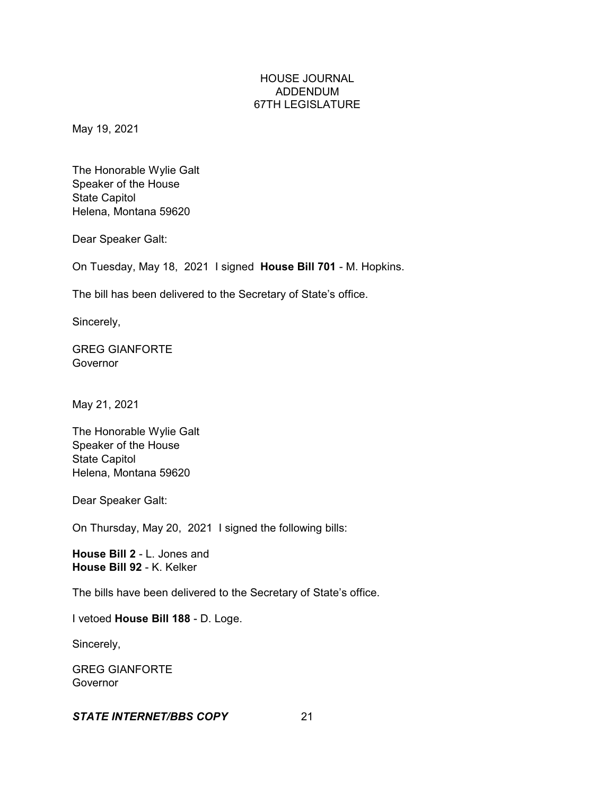May 19, 2021

The Honorable Wylie Galt Speaker of the House State Capitol Helena, Montana 59620

Dear Speaker Galt:

On Tuesday, May 18, 2021 I signed **House Bill 701** - M. Hopkins.

The bill has been delivered to the Secretary of State's office.

Sincerely,

GREG GIANFORTE Governor

May 21, 2021

The Honorable Wylie Galt Speaker of the House State Capitol Helena, Montana 59620

Dear Speaker Galt:

On Thursday, May 20, 2021 I signed the following bills:

**House Bill 2** - L. Jones and **House Bill 92** - K. Kelker

The bills have been delivered to the Secretary of State's office.

I vetoed **House Bill 188** - D. Loge.

Sincerely,

GREG GIANFORTE Governor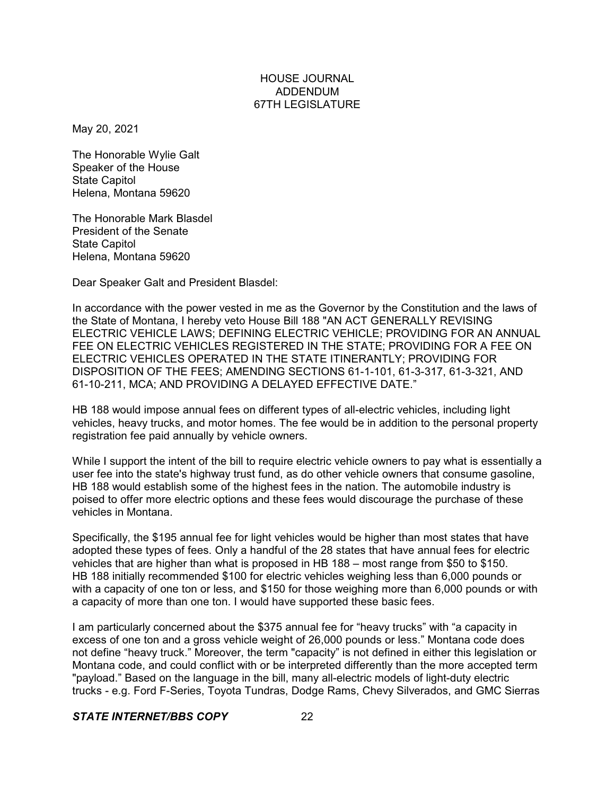May 20, 2021

The Honorable Wylie Galt Speaker of the House State Capitol Helena, Montana 59620

The Honorable Mark Blasdel President of the Senate State Capitol Helena, Montana 59620

Dear Speaker Galt and President Blasdel:

In accordance with the power vested in me as the Governor by the Constitution and the laws of the State of Montana, I hereby veto House Bill 188 "AN ACT GENERALLY REVISING ELECTRIC VEHICLE LAWS; DEFINING ELECTRIC VEHICLE; PROVIDING FOR AN ANNUAL FEE ON ELECTRIC VEHICLES REGISTERED IN THE STATE; PROVIDING FOR A FEE ON ELECTRIC VEHICLES OPERATED IN THE STATE ITINERANTLY; PROVIDING FOR DISPOSITION OF THE FEES; AMENDING SECTIONS 61-1-101, 61-3-317, 61-3-321, AND 61-10-211, MCA; AND PROVIDING A DELAYED EFFECTIVE DATE."

HB 188 would impose annual fees on different types of all-electric vehicles, including light vehicles, heavy trucks, and motor homes. The fee would be in addition to the personal property registration fee paid annually by vehicle owners.

While I support the intent of the bill to require electric vehicle owners to pay what is essentially a user fee into the state's highway trust fund, as do other vehicle owners that consume gasoline, HB 188 would establish some of the highest fees in the nation. The automobile industry is poised to offer more electric options and these fees would discourage the purchase of these vehicles in Montana.

Specifically, the \$195 annual fee for light vehicles would be higher than most states that have adopted these types of fees. Only a handful of the 28 states that have annual fees for electric vehicles that are higher than what is proposed in HB 188 – most range from \$50 to \$150. HB 188 initially recommended \$100 for electric vehicles weighing less than 6,000 pounds or with a capacity of one ton or less, and \$150 for those weighing more than 6,000 pounds or with a capacity of more than one ton. I would have supported these basic fees.

I am particularly concerned about the \$375 annual fee for "heavy trucks" with "a capacity in excess of one ton and a gross vehicle weight of 26,000 pounds or less." Montana code does not define "heavy truck." Moreover, the term "capacity" is not defined in either this legislation or Montana code, and could conflict with or be interpreted differently than the more accepted term "payload." Based on the language in the bill, many all-electric models of light-duty electric trucks - e.g. Ford F-Series, Toyota Tundras, Dodge Rams, Chevy Silverados, and GMC Sierras